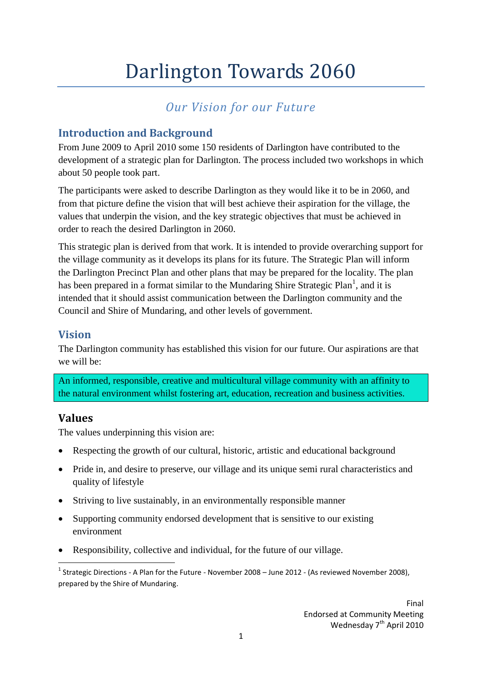# Darlington Towards 2060

# *Our Vision for our Future*

### **Introduction and Background**

From June 2009 to April 2010 some 150 residents of Darlington have contributed to the development of a strategic plan for Darlington. The process included two workshops in which about 50 people took part.

The participants were asked to describe Darlington as they would like it to be in 2060, and from that picture define the vision that will best achieve their aspiration for the village, the values that underpin the vision, and the key strategic objectives that must be achieved in order to reach the desired Darlington in 2060.

This strategic plan is derived from that work. It is intended to provide overarching support for the village community as it develops its plans for its future. The Strategic Plan will inform the Darlington Precinct Plan and other plans that may be prepared for the locality. The plan has been prepared in a format similar to the Mundaring Shire Strategic Plan<sup>1</sup>, and it is intended that it should assist communication between the Darlington community and the Council and Shire of Mundaring, and other levels of government.

#### **Vision**

The Darlington community has established this vision for our future. Our aspirations are that we will be:

An informed, responsible, creative and multicultural village community with an affinity to the natural environment whilst fostering art, education, recreation and business activities.

#### **Values**

The values underpinning this vision are:

- Respecting the growth of our cultural, historic, artistic and educational background
- Pride in, and desire to preserve, our village and its unique semi rural characteristics and quality of lifestyle
- Striving to live sustainably, in an environmentally responsible manner
- Supporting community endorsed development that is sensitive to our existing environment
- Responsibility, collective and individual, for the future of our village.

<sup>1</sup> <sup>1</sup> Strategic Directions - A Plan for the Future - November 2008 – June 2012 - (As reviewed November 2008), prepared by the Shire of Mundaring.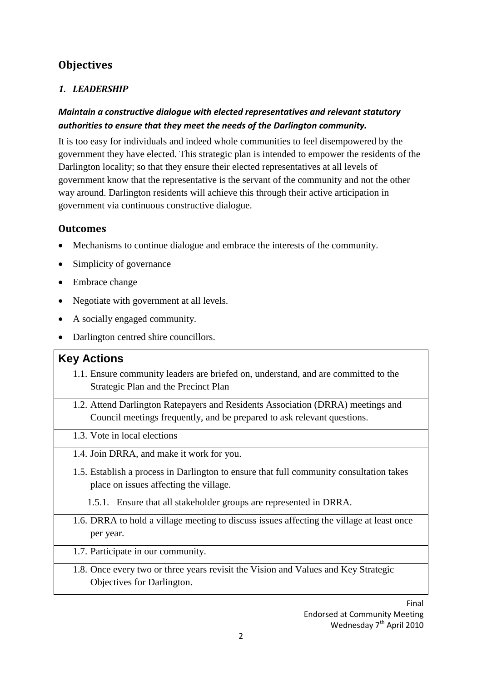## **Objectives**

#### *1. LEADERSHIP*

#### *Maintain a constructive dialogue with elected representatives and relevant statutory authorities to ensure that they meet the needs of the Darlington community.*

It is too easy for individuals and indeed whole communities to feel disempowered by the government they have elected. This strategic plan is intended to empower the residents of the Darlington locality; so that they ensure their elected representatives at all levels of government know that the representative is the servant of the community and not the other way around. Darlington residents will achieve this through their active articipation in government via continuous constructive dialogue.

#### **Outcomes**

- Mechanisms to continue dialogue and embrace the interests of the community.
- Simplicity of governance
- Embrace change
- Negotiate with government at all levels.
- A socially engaged community.
- Darlington centred shire councillors.

#### **Key Actions**

- 1.1. Ensure community leaders are briefed on, understand, and are committed to the Strategic Plan and the Precinct Plan
- 1.2. Attend Darlington Ratepayers and Residents Association (DRRA) meetings and Council meetings frequently, and be prepared to ask relevant questions.
- 1.3. Vote in local elections
- 1.4. Join DRRA, and make it work for you.
- 1.5. Establish a process in Darlington to ensure that full community consultation takes place on issues affecting the village.
	- 1.5.1. Ensure that all stakeholder groups are represented in DRRA.
- 1.6. DRRA to hold a village meeting to discuss issues affecting the village at least once per year.
- 1.7. Participate in our community.
- 1.8. Once every two or three years revisit the Vision and Values and Key Strategic Objectives for Darlington.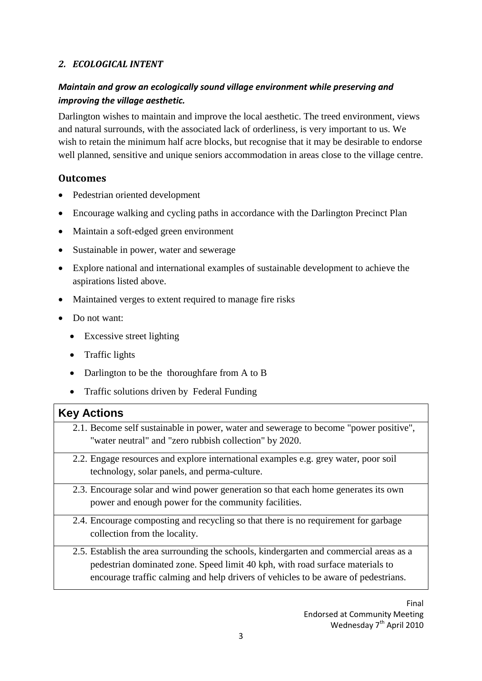#### *2. ECOLOGICAL INTENT*

#### *Maintain and grow an ecologically sound village environment while preserving and improving the village aesthetic.*

Darlington wishes to maintain and improve the local aesthetic. The treed environment, views and natural surrounds, with the associated lack of orderliness, is very important to us. We wish to retain the minimum half acre blocks, but recognise that it may be desirable to endorse well planned, sensitive and unique seniors accommodation in areas close to the village centre.

#### **Outcomes**

- Pedestrian oriented development
- Encourage walking and cycling paths in accordance with the Darlington Precinct Plan
- Maintain a soft-edged green environment
- Sustainable in power, water and sewerage
- Explore national and international examples of sustainable development to achieve the aspirations listed above.
- Maintained verges to extent required to manage fire risks
- Do not want:
	- Excessive street lighting
	- Traffic lights
	- Darlington to be the thoroughfare from A to B
	- Traffic solutions driven by Federal Funding

#### **Key Actions**

- 2.1. Become self sustainable in power, water and sewerage to become "power positive", "water neutral" and "zero rubbish collection" by 2020.
- 2.2. Engage resources and explore international examples e.g. grey water, poor soil technology, solar panels, and perma-culture.
- 2.3. Encourage solar and wind power generation so that each home generates its own power and enough power for the community facilities.
- 2.4. Encourage composting and recycling so that there is no requirement for garbage collection from the locality.
- 2.5. Establish the area surrounding the schools, kindergarten and commercial areas as a pedestrian dominated zone. Speed limit 40 kph, with road surface materials to encourage traffic calming and help drivers of vehicles to be aware of pedestrians.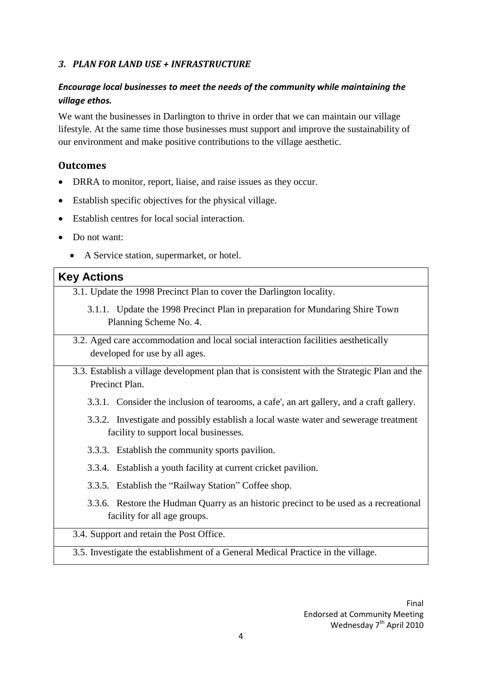#### *3. PLAN FOR LAND USE + INFRASTRUCTURE*

#### *Encourage local businesses to meet the needs of the community while maintaining the village ethos.*

We want the businesses in Darlington to thrive in order that we can maintain our village lifestyle. At the same time those businesses must support and improve the sustainability of our environment and make positive contributions to the village aesthetic.

#### **Outcomes**

- DRRA to monitor, report, liaise, and raise issues as they occur.
- Establish specific objectives for the physical village.
- Establish centres for local social interaction.
- Do not want:
	- A Service station, supermarket, or hotel.

#### **Key Actions**

- 3.1. Update the 1998 Precinct Plan to cover the Darlington locality.
	- 3.1.1. Update the 1998 Precinct Plan in preparation for Mundaring Shire Town Planning Scheme No. 4.
- 3.2. Aged care accommodation and local social interaction facilities aesthetically developed for use by all ages.
- 3.3. Establish a village development plan that is consistent with the Strategic Plan and the Precinct Plan.
	- 3.3.1. Consider the inclusion of tearooms, a cafe', an art gallery, and a craft gallery.
	- 3.3.2. Investigate and possibly establish a local waste water and sewerage treatment facility to support local businesses.
	- 3.3.3. Establish the community sports pavilion.
	- 3.3.4. Establish a youth facility at current cricket pavilion.
	- 3.3.5. Establish the "Railway Station" Coffee shop.
	- 3.3.6. Restore the Hudman Quarry as an historic precinct to be used as a recreational facility for all age groups.

#### 3.4. Support and retain the Post Office.

3.5. Investigate the establishment of a General Medical Practice in the village.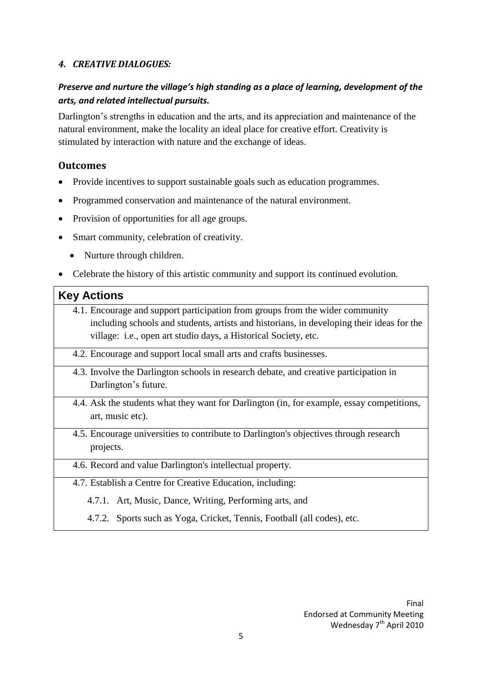#### *4. CREATIVE DIALOGUES:*

#### *Preserve and nurture the village's high standing as a place of learning, development of the arts, and related intellectual pursuits.*

Darlington's strengths in education and the arts, and its appreciation and maintenance of the natural environment, make the locality an ideal place for creative effort. Creativity is stimulated by interaction with nature and the exchange of ideas.

#### **Outcomes**

- Provide incentives to support sustainable goals such as education programmes.
- Programmed conservation and maintenance of the natural environment.
- Provision of opportunities for all age groups.
- Smart community, celebration of creativity.
	- Nurture through children.
- Celebrate the history of this artistic community and support its continued evolution.

#### **Key Actions**

- 4.1. Encourage and support participation from groups from the wider community including schools and students, artists and historians, in developing their ideas for the village: i.e., open art studio days, a Historical Society, etc.
- 4.2. Encourage and support local small arts and crafts businesses.
- 4.3. Involve the Darlington schools in research debate, and creative participation in Darlington's future.
- 4.4. Ask the students what they want for Darlington (in, for example, essay competitions, art, music etc).
- 4.5. Encourage universities to contribute to Darlington's objectives through research projects.
- 4.6. Record and value Darlington's intellectual property.
- 4.7. Establish a Centre for Creative Education, including:
	- 4.7.1. Art, Music, Dance, Writing, Performing arts, and
	- 4.7.2. Sports such as Yoga, Cricket, Tennis, Football (all codes), etc.